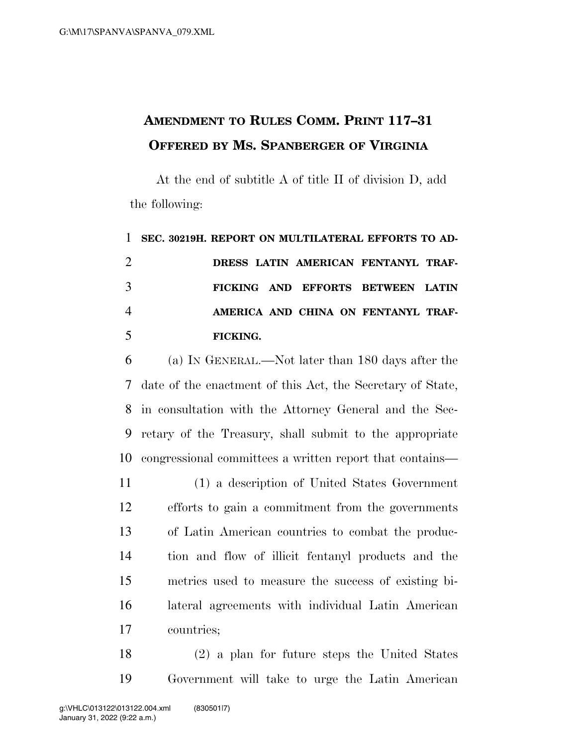## **AMENDMENT TO RULES COMM. PRINT 117–31 OFFERED BY MS. SPANBERGER OF VIRGINIA**

At the end of subtitle A of title II of division D, add the following:

## **SEC. 30219H. REPORT ON MULTILATERAL EFFORTS TO AD- DRESS LATIN AMERICAN FENTANYL TRAF- FICKING AND EFFORTS BETWEEN LATIN AMERICA AND CHINA ON FENTANYL TRAF-FICKING.**

 (a) IN GENERAL.—Not later than 180 days after the date of the enactment of this Act, the Secretary of State, in consultation with the Attorney General and the Sec- retary of the Treasury, shall submit to the appropriate congressional committees a written report that contains—

 (1) a description of United States Government efforts to gain a commitment from the governments of Latin American countries to combat the produc- tion and flow of illicit fentanyl products and the metrics used to measure the success of existing bi- lateral agreements with individual Latin American countries;

 (2) a plan for future steps the United States Government will take to urge the Latin American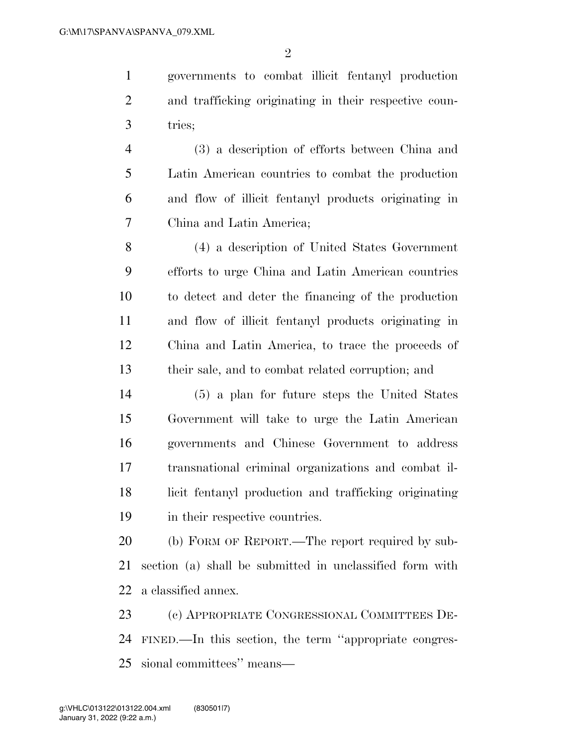governments to combat illicit fentanyl production and trafficking originating in their respective coun-tries;

 (3) a description of efforts between China and Latin American countries to combat the production and flow of illicit fentanyl products originating in China and Latin America;

 (4) a description of United States Government efforts to urge China and Latin American countries to detect and deter the financing of the production and flow of illicit fentanyl products originating in China and Latin America, to trace the proceeds of their sale, and to combat related corruption; and

 (5) a plan for future steps the United States Government will take to urge the Latin American governments and Chinese Government to address transnational criminal organizations and combat il- licit fentanyl production and trafficking originating in their respective countries.

 (b) FORM OF REPORT.—The report required by sub- section (a) shall be submitted in unclassified form with a classified annex.

 (c) APPROPRIATE CONGRESSIONAL COMMITTEES DE- FINED.—In this section, the term ''appropriate congres-sional committees'' means